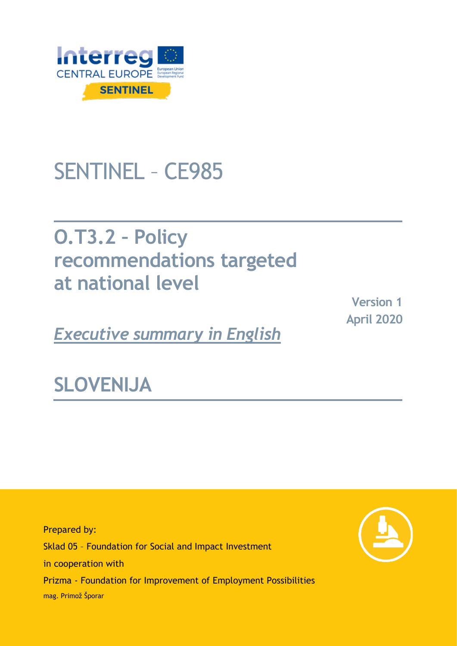

# SENTINEL – CE985

# **O.T3.2 - Policy recommendations targeted at national level**

*Executive summary in English*

**Version 1 April 2020**

**SLOVENIJA**

Prepared by: Sklad 05 – Foundation for Social and Impact Investment in cooperation with Prizma - Foundation for Improvement of Employment Possibilities mag. Primož Šporar

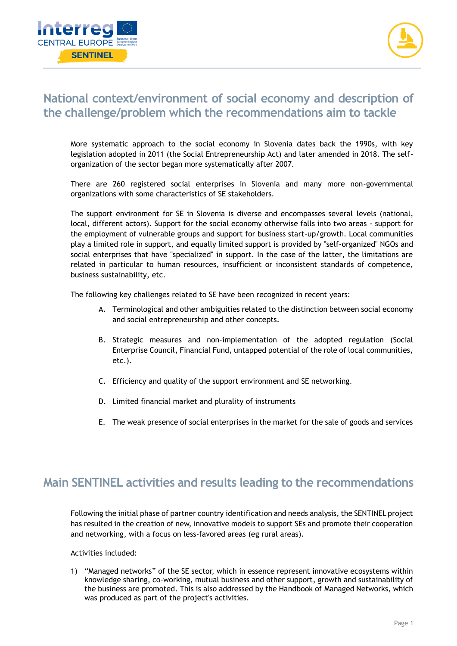



## **National context/environment of social economy and description of the challenge/problem which the recommendations aim to tackle**

More systematic approach to the social economy in Slovenia dates back the 1990s, with key legislation adopted in 2011 (the Social Entrepreneurship Act) and later amended in 2018. The selforganization of the sector began more systematically after 2007.

There are 260 registered social enterprises in Slovenia and many more non-governmental organizations with some characteristics of SE stakeholders.

The support environment for SE in Slovenia is diverse and encompasses several levels (national, local, different actors). Support for the social economy otherwise falls into two areas - support for the employment of vulnerable groups and support for business start-up/growth. Local communities play a limited role in support, and equally limited support is provided by "self-organized" NGOs and social enterprises that have "specialized" in support. In the case of the latter, the limitations are related in particular to human resources, insufficient or inconsistent standards of competence, business sustainability, etc.

The following key challenges related to SE have been recognized in recent years:

- A. Terminological and other ambiguities related to the distinction between social economy and social entrepreneurship and other concepts.
- B. Strategic measures and non-implementation of the adopted regulation (Social Enterprise Council, Financial Fund, untapped potential of the role of local communities, etc.).
- C. Efficiency and quality of the support environment and SE networking.
- D. Limited financial market and plurality of instruments
- E. The weak presence of social enterprises in the market for the sale of goods and services

### **Main SENTINEL activities and results leading to the recommendations**

Following the initial phase of partner country identification and needs analysis, the SENTINEL project has resulted in the creation of new, innovative models to support SEs and promote their cooperation and networking, with a focus on less-favored areas (eg rural areas).

Activities included:

1) "Managed networks" of the SE sector, which in essence represent innovative ecosystems within knowledge sharing, co-working, mutual business and other support, growth and sustainability of the business are promoted. This is also addressed by the Handbook of Managed Networks, which was produced as part of the project's activities.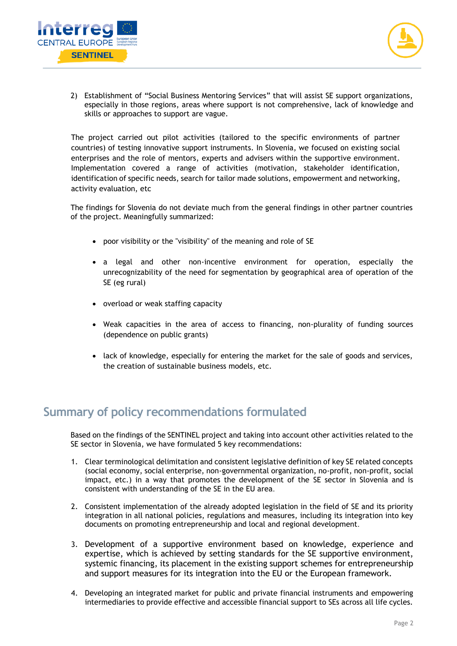



2) Establishment of "Social Business Mentoring Services" that will assist SE support organizations, especially in those regions, areas where support is not comprehensive, lack of knowledge and skills or approaches to support are vague.

The project carried out pilot activities (tailored to the specific environments of partner countries) of testing innovative support instruments. In Slovenia, we focused on existing social enterprises and the role of mentors, experts and advisers within the supportive environment. Implementation covered a range of activities (motivation, stakeholder identification, identification of specific needs, search for tailor made solutions, empowerment and networking, activity evaluation, etc

The findings for Slovenia do not deviate much from the general findings in other partner countries of the project. Meaningfully summarized:

- poor visibility or the "visibility" of the meaning and role of SE
- a legal and other non-incentive environment for operation, especially the unrecognizability of the need for segmentation by geographical area of operation of the SE (eg rural)
- overload or weak staffing capacity
- Weak capacities in the area of access to financing, non-plurality of funding sources (dependence on public grants)
- lack of knowledge, especially for entering the market for the sale of goods and services, the creation of sustainable business models, etc.

### **Summary of policy recommendations formulated**

Based on the findings of the SENTINEL project and taking into account other activities related to the SE sector in Slovenia, we have formulated 5 key recommendations:

- 1. Clear terminological delimitation and consistent legislative definition of key SE related concepts (social economy, social enterprise, non-governmental organization, no-profit, non-profit, social impact, etc.) in a way that promotes the development of the SE sector in Slovenia and is consistent with understanding of the SE in the EU area.
- 2. Consistent implementation of the already adopted legislation in the field of SE and its priority integration in all national policies, regulations and measures, including its integration into key documents on promoting entrepreneurship and local and regional development.
- 3. Development of a supportive environment based on knowledge, experience and expertise, which is achieved by setting standards for the SE supportive environment, systemic financing, its placement in the existing support schemes for entrepreneurship and support measures for its integration into the EU or the European framework.
- 4. Developing an integrated market for public and private financial instruments and empowering intermediaries to provide effective and accessible financial support to SEs across all life cycles.